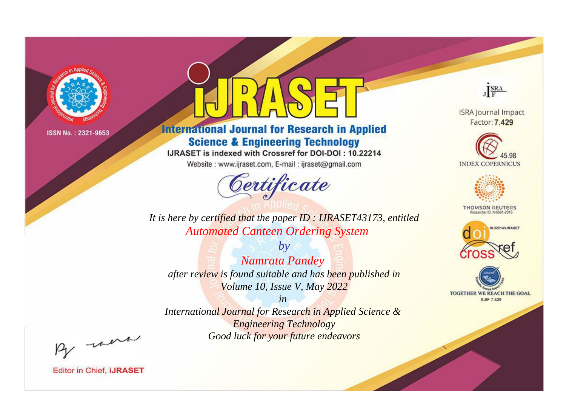

# **International Journal for Research in Applied Science & Engineering Technology**

IJRASET is indexed with Crossref for DOI-DOI: 10.22214

Website: www.ijraset.com, E-mail: ijraset@gmail.com



JERA

**ISRA Journal Impact** Factor: 7.429





**THOMSON REUTERS** 



TOGETHER WE REACH THE GOAL **SJIF 7.429** 

*It is here by certified that the paper ID : IJRASET43173, entitled Automated Canteen Ordering System*

*by Namrata Pandey after review is found suitable and has been published in Volume 10, Issue V, May 2022*

*in* 

*International Journal for Research in Applied Science & Engineering Technology Good luck for your future endeavors*

By morn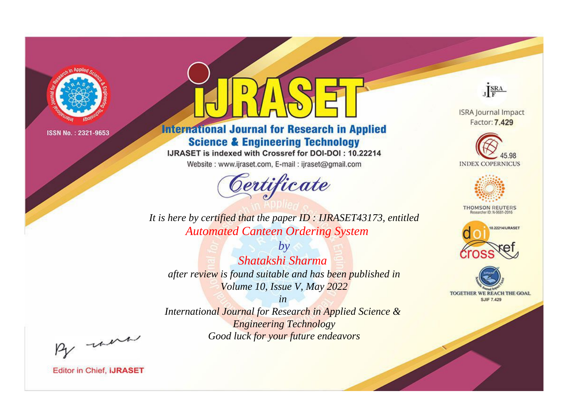

# **International Journal for Research in Applied Science & Engineering Technology**

IJRASET is indexed with Crossref for DOI-DOI: 10.22214

Website: www.ijraset.com, E-mail: ijraset@gmail.com



JERA

**ISRA Journal Impact** Factor: 7.429





**THOMSON REUTERS** 



TOGETHER WE REACH THE GOAL **SJIF 7.429** 

*It is here by certified that the paper ID : IJRASET43173, entitled Automated Canteen Ordering System*

*by Shatakshi Sharma after review is found suitable and has been published in Volume 10, Issue V, May 2022*

*in* 

*International Journal for Research in Applied Science & Engineering Technology Good luck for your future endeavors*

By morn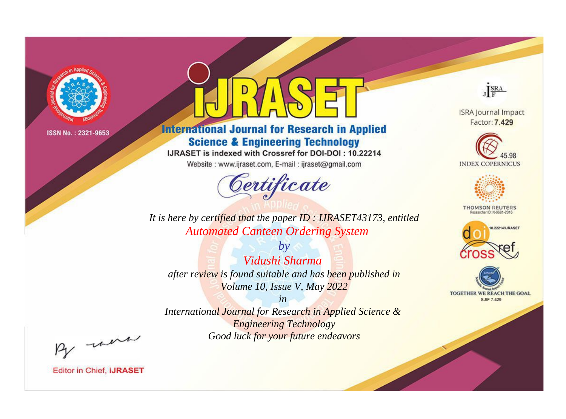

# **International Journal for Research in Applied Science & Engineering Technology**

IJRASET is indexed with Crossref for DOI-DOI: 10.22214

Website: www.ijraset.com, E-mail: ijraset@gmail.com



JERA

**ISRA Journal Impact** Factor: 7.429





**THOMSON REUTERS** 



TOGETHER WE REACH THE GOAL **SJIF 7.429** 

*It is here by certified that the paper ID : IJRASET43173, entitled Automated Canteen Ordering System*

*by Vidushi Sharma after review is found suitable and has been published in Volume 10, Issue V, May 2022*

*in* 

*International Journal for Research in Applied Science & Engineering Technology Good luck for your future endeavors*

By morn